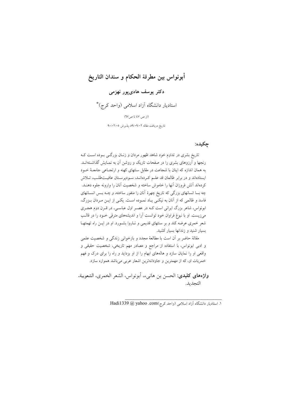# أبونواس بين مطرقة الحكام و سندان التاريخ دکتر یوسف هادیپور نهزمی استادیار دانشگاه آزاد اسلامی (واحد کرج)\* (از ص ٤٧ تا ص٦٧) تاریخ دریافت مقاله ۰/۰۹/۰۹٪ پذیرش ۹۰/۰۲/۰۵

### چکيده:

تاریخ بشری در تداوم خود شاهد ظهور مردان و زنبان بزرگی بوده است ک رنجها و آرزوهای بشری را در صفحات تاریک و روشن آن به نمـایش گذاشـتهانـد. به همان اندازه که اینان با شجاعت در مقابل سنتهای کهنه و ارتجـاعی جامعـهٔ خــود ایستادهاند و در برابر ظالمان قد علـم کـردهانـد، سـودپرسـتان عافیـتطلـب، تـلاش کردهاند آتش فروزان آنها را خاموش ساخته و شخصیت آنان را وارونه جلوه دهنــد. چه بسا انسانهای بزرگی که تاریخ چهرهٔ آنان را منفور ساخته، و چــه بــس انســانهای فاسد و ظالمی که از آنان به نیکبی پاد نمـوده اسـت. یکـی از ایـن مـردان بـزرگ، ابونواس، شاعر بزرگ ایرانی است کـه در عصـر اول عباسـی، در قـرن دوم هجـری می;زیست. او با نبوغ فراوان خود توانست آرا و اندیشههای مترقی خـود را در قالـب شعر خمری عرضه کند و بر سنتهای قدیمی و نـاروا بشـورد. او در ایــن راه تهمتهـا بسیار شنید و زندانها بسیار کشید.

مقالهٔ حاضر بر أن است با مطالعهٔ مجدد و بازخوانی زندگی و شخصیت علمی و ادبی ابونواس، با استفاده از مراجع و مصادر مهم تاریخی، شخصیت حقیقی و واقعی او را نمایان سازد و هالههای ابهام را از او بزداید و راه را برای درک و فهم خمریات او، که از مهمترین و جاودانهترین اشعار عربی میباشد همواره سازد.

واژههاي كليدي: الحسن بن هانيء، أبونواس، الشعر الخمري، الشعوبية، التجديد.

١. استاديار دانشگاه آزاد اسلامي (واحد كرج)Com و Hadi1339 @ yahoo .com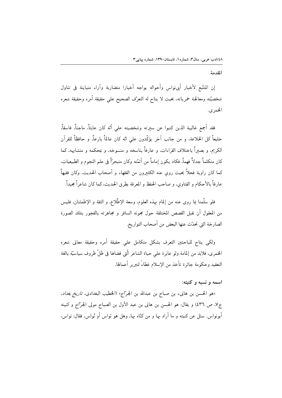المقدمة

إن المتتَّبع لأخبار أبينواس وأحواله يواجه أخبارا متضاربة وآراء متباينة في تناول شخصيَّته ومعالجـة خمرياته، بحيث لا يتاح له التعرّف الصحيح على حقيقة أمره وحقيقة شعره الخمري.

فقد أجمع غالبية الذين كتبوا عن سعرته وشخصيته على أنّه كان عابثاً، ماجناً، فاسقاً، خليعاً كل الخلاعة، و من جانب آخر يؤكّدون على انّه كان عالماً بارعاً، و حافظاً للقرآن الكريم، و بصبراً باختلاف القراءات، و عارفاً بناسخه و منسوخه، و ممحكمه و متشامهه، كما كان متكلماً جدلاً فهماً. فكاد يكون إماماً من أئمّته وكان متبحرّاً في علم النجوم و الطبيعيات. كما كان راوية فحلاً بحيث روى عنه الكثىرون من الفقهاء و أصحاب الحديث، وكان فقيهاً عادفاً بالأحكام و الفتاوي، و صاحب الحفظ و المعرفة بطرق الجديث، كما كان شاعراً محيداً.

فلو سلَّمنا بما روى عنه من إلمام بهذه العلوم، وسعة الإطِّلاع، و الثقة و الإطمئنان، فليس من المعقول أن نقبل القصص المختلقة حول مجونه السافر و مجاهرته بالفجور بتلك الصورة الصارخة التي تحدّث عنها البعض من أصحاب التواريخ.

ولكى يتاح للباحثين التعرف بشكل متكامل على حقيقة أمره وحقيقة معانى شعره الخمري، فلابد من إلمامة ولو عابرة على حياة الشاعر الَّتي قضاها في ظلِّ ظروف سياسيَّة بالغة التعقيد وحكومة جائرة تأخذ من الإسلام غطاءً لتبرير أعمالها.

## اسمه و نسبه و کنیته:

«هو الحسن بن هانيء بن صباح بن عبدالله بن الجرّاح» (الخطيب البغدادي، *تاريخ بغداد*. ج٧. ص ٤٣٦) و يقال: هو الحسن بن هاني بن عبد الأول بن الصباح مولى الجرّاح و كنيته أبونواس. سئل عن كنيته و ما أراد بها و من كنّاه بها، وهل هو نَواس أو نُواس، فقال: نواس،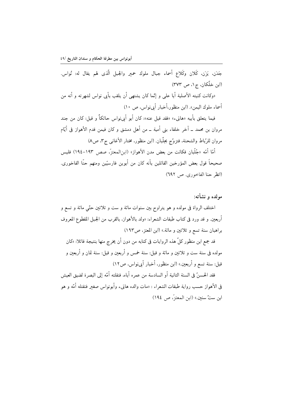جَدَنِ، يَزَنِ، كَلانٍ وكَلاعٍ أسماءٍ جبالٍ ملوكِ حميرٍ والجبلِ الَّذي لهم يقالٍ له: نُواسٍ. (ابن خلّکان، ج۱، ص ۳۷۳)

«وكانت كنيته الأصلية أبا على و إنَّما كان يشتهي أن يلقب بأبي نواس لشهرته و أنه من أسماء ملوك اليمن». (ابن منظور،أخبار أبي نواس، ص ١٠)

فيما يتعلق بأبيه «هانيء» «فقد قيل عنه»: كان أبو أبينواس حائكاً و قيل: كان من جند مروان بن محمد ــ آخر خلفاء بني أمية ــ من أهل دمشق و كان فيمن قدم الأهواز في أيّام مروان للرّباط والشحنة، فتزوّج بجلّبان. (ابن منظور، مختار الأغاني ج٣، ص٨)

أمّا أمّه «جُلّبان فكانت من بعض مدن الأهواز» (ابن|لمعتزّ، صص ١٩٣-١٩٤) فليس صحيحاً قول بعض المؤرخين القائلين بأنه كان من أبوين فارسيّين ومنهم حنّا الفاخوري. (انظر حنا الفاخوري. ص ٦٩٢)

## مولده و نشأته:

اختلف الرواة في مولده و هو يتراوح بين سنوات مائة و ست و ثلاثين حتّى مائة و تسع و أربعين. و قد ورد في كتاب طبقات الشعراء: «ولد بالأهواز، بالقرب من الجبل المقطوع المعروف براهبان سنة تسع و ثلاثين و مائة.» (ابن المعتز، ص١٩٣)

قد جمع ابن منظور كلٌّ هذه الروايات في كتابه من دون أن يخرج منها بنتيجة قائلا: «كان مولده في سنة ست و ثلاثين و مائة و قيل: سنة خمس و أربعين و قيل: سنة ثمان و أربعين و قيل: سنة تسع و أربعين.» (ابن منظور، أخبار أبينواس، ص١٢)

فقد الحسنُ في السنة الثانية أو السادسة من عمره أباه، فنقلته أمّه إلى البصرة لضيق العيش في الأهواز حسب رواية طبقات الشعراء : «مات والده هانيء وأبونواس صغير فنقتله أمّه و هو ابن ستّ سنين.» (ابن المعتز، ص ١٩٤)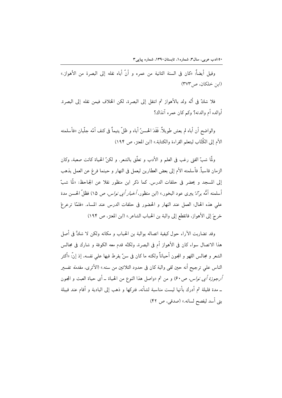وقيل أيضاً: «كان في السنة الثانية من عمره و أنَّ أباه نقله إلى البصرة من الأهواز.» (ابن خلكان، ص٣٧٣)

فلا شكَّ في أُنَّه ولد بالأهواز ثم انتقل إلى البصرة، لكن الخلاف فيمن نقله إلى البصرة. أوالده أم والدته؟ وكم كان عمره آنذاك؟

والواضح أن أباه لم يعش طويلاً. فَقَدَ الحسنُ أباه و ظلَّ يتيماً في كنف أمّه جلّبان «فأسلمته الأم إلى الكُتَّابِ ليتعلَّم القراءة والكتابة.» (ابن المعتز ، ص ١٩۴)

ولَّما شبِّ الفتى رغب في العلم و الأدب و تعلَّق بالشعر . و لكنِّ الحياة كانت صعبة، وكان الزمان قاسياً. فأسلمته الأم إلى بعض العطارين ليعمل في النهار و حينما فرغ عن العمل يذهب إلى المسجد و يحضر في حلقات الدرس. كما ذكر ابن منظور نقلا عن الجاحظ: «لَمَّا شبّ أسلمته أمُّه برّاءً يبرى عود البخور.» (ابن منظور، *أخبار أبي نواس، ص* ١٥) فظلّ الحسن مدة على هذه الحال: العمل عند النهار و الحضور في حلقات الدرس عند المساء. «فلمَّا ترعرعَ خرجَ إلى الأهواز، فانقطع إلى والبة بن الحباب الشاعر .» (ابن المعتز ، ص ١٩۴)

وقد تضاربت الآراء حول كيفية اتصاله بوالبة بن الحباب و مكانه ولكن لا شكَّ في أصل هذا الاتصال سواء كان في الأهواز أم في البصرة، ولكنَّه قدم معه الكوفة و شارك في مجالس الشعر و مجالس اللهو و المجون أحياناً ولكنه ما كان في سنّ يفرط فيها على نفسه، إذ إنّ: «أكثر الناس على ترجيح أنه حين لقى والبة كان في حدود الثلاثين من سنه.» (الأثرى، مقد*مة* تفسير أرجوزة أبي نواس، ص٤٠) و من ثم «واصل هذا النوع من الحياة \_ أي حياة العبث و المجون ــ مدة قليلة ثم أدرك بأنها ليست مناسبة لشأنه، فتركها و ذهب إلى البادية و أقام عند قبيلة بني أسد ليفصح لسانه.» (صدقي، ص ۴۲)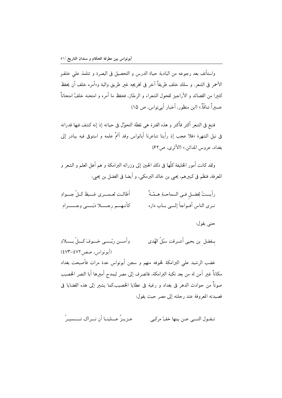واستأنف بعد رجوعه من البادية حياة الدرس و التحصيل في البصرة و تتلمذ على خلفٍ الأحمر في الشعر. و سلك خلف طريقاً آخر في تخريجه غبر طريق والبة و«أمره خلف أن يحفظ كثعرا من القصائد و الأراجيز لفحول الشعراء و الرجّاز، فحفظ ما أمره و امتحنه خلفٌ امتحاناً ۖ عسىراً شاقّاً.» (ابن منظور، أخبار أبي نواس، ص ١٥)

فنبغ في الشعر أكثر فأكثر و هذه الفترة هي نقطة التحوّل في حياته إذ إنه كشف فيها قدراته في نيل الشهرة «فلا عجب إذ رأينا شاعرنا أبانواس وقد أتمّ علمه و استوفى فيه يبادر إلى بغداد، عروس المدائن.» (الأثرى، ص٢٢)

ولقد كانت أمور الخليفة كلَّها في ذلك الحين إلى وزرائه البرامكة و هم أهل العلم و الشعر و المعرفة، فنظم في كبيرهم، يحيى بن خالد البرمكي، و أيضا في الفضل بن يحيى:

| أطالت لعمسري غسيظ كلّ جسوادِ | رأيــتُ لِفضـلٍ فـي السماحـةِ هـمّـةً |
|------------------------------|---------------------------------------|
| كأنهم رجسلا دبّسي وجسسرادِ   | تـرى الناس أفـواجاً إلـــى بــاب داره |

#### حتى يقول:

بــفضل بن يحيى أشــرقت سبُلُ الهُدي وآمسن ربّسے خسوفَ کسلّ بسیلاد (أبونواس، صص ٤٧٢-٤٧٣) غضب الرشيد على البرامكة لخوفه منهم و سجن أبونواس عدة مرات فأصبحت بغداد مكاناً غىر آمن له من بعد نكبة البرامكة، فانصرف إلى مصر ليمدح أميرها أبا النصر الخصيب صوناً من حوادث الدهر في بغداد و رغبة في عطايا الخصيب.كما يشعر إلى هذه القضايا في قصيدته المعروفة عند رحلته إلى مصر حيث يقول:

عيزييزٌ عسلينيا أن نسراك تسسيسرُ تبقيول التسبي عين بيتها خفّ مركبي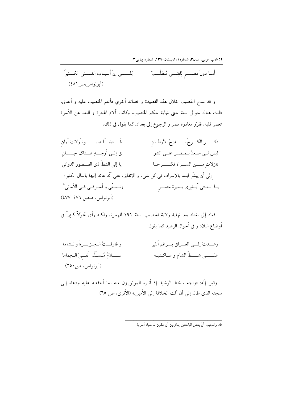۰/۱/دب عربی، سال۳، شماره۱، تابستان۱۳۹۰، شماره پیاپی۳

و قد مدح الخصيب خلال هذه القصيدة و قصائد أخرى فأنعم الخصيب عليه و أغدق، فلبث هناك حوالى سنة حتى نهاية حكم الخصيب، وكانت آلام الهجرة و البعد عن الأسرة تعصر قلبه، فقرَّر مغادرة مصر و الرجوع إلى بغداد. كما يقول في ذلك:

فَــصَبـــَـا صَبــــــــوة وُلاتَ أوان ذكـــــر الكـــرخَ نــــــازحُ الأوطــان لیس لـی مسعدٌ بــمـصـر علــی الشو ق إلـي أوجـــه هـــناك حِــســان يا إلى الشطّ ذي القـــصور الدواني نازلات مســـن الســـراة فكــــــرخـا إلى أن يبشَّر ابنته بالإسراف في كل شيء و الإنفاق، على أنَّه عائد إليها بالمال الكثير: وتـمـنّى و أسـرفـى فـى الأمانى\* يـا ابــنــتى أبــشِرى بــميرة مصـــر (أبونواس، صص ٤٧٦-٤٧٧)

فعاد إلى بغداد بعد نهاية ولاية الخصيب، سنة ١٩١ للهجرة، ولكنه رأى تحوّلاً كبيراً فى أوضاع البلاد و في أحوال الرشيد كما يقول:

| و فارقــتُ الـجـزيــرةَ والـشآما                 | وعسدتُ إلــــى العـــــراق بـــــرغم أنفى   |
|--------------------------------------------------|---------------------------------------------|
| ســـــــــلامُ مُــســَلِّم لَقـــِيَ الــحِماما | علـــــــــى شــــــطّ الشآم و ســاكــنيــه |
| (أبونواس، ص ٢٥٠)                                 |                                             |

وقيل إنَّه: «واجه سخط الرشيد إذ أثاره الموتورون منه بما أحفظه عليه ودعاه إلى سجنه الذي طال إلى أن آلت الخلافةُ إلى الأمين.» (الأثري، ص ٦٥)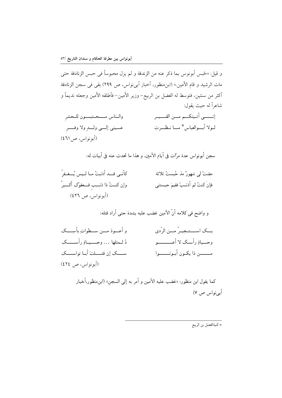و قيل: «حُبِس أبونوس بِما ذكر عنه من الزندقة و لم يزل محبوساً في حبس الزنادقة حتى مات الرشيد و قام الأمين.» (ابنِ منظور، أخبار أب<sub>ى</sub> نواس، ص ٢٩٩) بقى فى سجن الزنادقة أكثر من سنتين، فتوسط له الفضل بن الربيع– وزير الأمين– فأطلقه الأمين وجعله نديماً و شاعراً له حيث يقول:

إنـــــي أتـيتكــم مــن القــــبـر والمناس مستحتبسون للحشر عسيني إلسي ولسدٍ ولا وفســر لـولا أبــوالعباس \* مــا نـظــرت (أبو نواس، ص ٤٦١)

سجن أبونواس عدة مرّات في أيام الأمين، و هذا ما تحدث عنه في أبيات له:

كأنـى قــد أذنبتُ مـا لـيس يُــغـفرُ مضتْ لي شهورٌ مذ حُبستُ ثلاثة وإن كنــتُ ذا ذنـــب فـــعفوُك أكــــبرُ فإنَ كنتُ لم أذنـبْ ففيمَ حبستني (أبونواس، ص ٤٢٦)

| و أعـــوذ مـــن ســـطواتِ بأسِــــك     | بــك اســـتـجيـرُ مــن الرّدي    |
|-----------------------------------------|----------------------------------|
| دُ لــمثلها … وحـــــيــاةِ رأســـــــک | وحـــياةِ رأسـك لا أعــــــــــو |
| ســــك إن قتــــلتَ أبـا نواســــك      | مــــــن ذا يكـون أبـونــــــوا  |
| (أبونواس، ص ٤٢٤)                        |                                  |

كما يقول ابن منظور: «غضب عليه الأمين و أمر به إلى السجن» (ابن•نظور،أخبار أبي نواس ص ٧)

× كنيةالفضل بن الربيع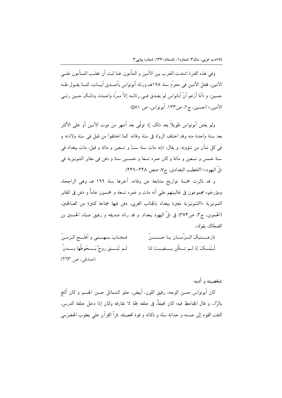وفي هذه الفترة اشتدت الحرب بين الأمين و المأمون. فما لبث أن تغلـب المــأمون علــي الأمين، فقتل الأمين في محرَّم سنة ١٩٨هـ ورثاه أبونواس بأصـدق أبيــات، كمــا يقــول طــه حسين: و «أنا أزعم أنَّ أبانواس لم يصدق فـي رثائــه إلاّ مـرّة واحــدة، وذلــك حــين رثــي الأمين.» (حسين، ج٢، ص١٣٣. أبونواس، ص ٥٨١)

ولم يعش أبونواس طويلاً بعد ذلك إذ توفَّى بعد أشهر من موت الأمين أو على الأكثر بعد سنهٔ واحدهٔ منه وقد اختلف الرواة في سنة وفاته. كما اختلفوا من قبل في سنة ولادته و في كل شأن من شؤونه. و يقال: «إنه مات سنة ستّ و تسعين و مائة و قيل: مات ببغداد في سنهٔ خمس و تسعین و مائهٔ و کان عمره تسعا و خمسین سنهٔ و دفن فی مقابر الشونیزیهٔ فی تلّ اليهود.» (الخطيب البغدادي، ج٧، صص ۴۴۸–۴۴۹)

و قد ذكرت خمسة تواريخ متتابعة عن وفاته، آخرها سنة ١٩٩ هـ وهي الراجحة، ومؤرخوه مجموعون في غالبيتهم على أنه مات و عمره تسعة و خمسون عاماً و دفن في المقابر الشونيزية «(الشونيزية مقبرة ببغداد بالجانب الغربي، دفن فيها جماعة كثيرة من الصالحين. (الحموي، ج٣، ص٣٧٣) في تلَّ اليهود ببغداد. و قد رثاه صديقه و رفيق صباه، الحسين بن الضحّاك، بقوله:.

فبخبابَ سيهسمي و أفلَسجَ البزمينُ نازعــــنيكَ الـــزّمـــان بــا حـــــسنُ لـم تَبْـــقَ روحٌ يَـــحُوطُها بــــدنُ لَـيْتَــكَ إذ لــم تـــكُن بــــقيـــتَ لنا (صدقی، ص ۲٦۳)

شخصىته و أدبه: كان أبونواس حسنَ الوجه، رقيق اللون، أبيض، حلو الشمائل حسن الجسم و كان ألثغ بالرّاء. و قال الجاحظ فيه: كان نحيفاً، في حلقه بحّة لا تفارقه وكان إذا دخل حلقة الدرس، التفت القوم إلى حسنه و حداثة سنَّه و ذكائه و قوة تحصيله. قرأ القرآن على يعقوب الحضرمي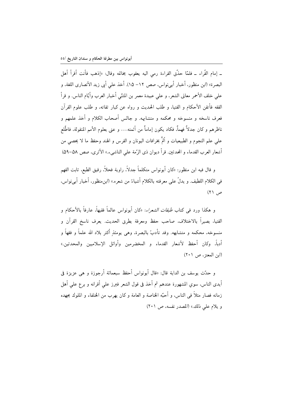\_ إمام القّراء \_ فلمّا حذَّق القراءة رمي اليه يعقوب بِخاتمه وقال: «إذهب فأنت أقرأ أهل البصرة» (ابن منظور، أخبار أبي نواس، صص ١٢– ١۵). أخذ على أبي زيد الأنصاري اللغة، و على خلف الأحمر معاني الشعر، و على عبيدة معمر بن المثنّي أخبار العرب وأيّام الناس. و قرأ الفقه فأتقن الأحكام و الفتيا، و طلب الحديث و رواه عن كبار ثقاته، و طلب علوم القرآن فعرف ناسخه و منسوخه و محکمه و متشابهه. و جالس أصحاب الکلام و أخذ علمهم و ناظرهم و كان جدلاً فهماً، فكاد يكون إماماً من أئمته… و عني بعلوم الأمم المنقولة، فاطَّلع على علم النجوم و الطبيعيات و ألمَّ بخرافات اليونان و الفرس و الهند وحفظ ما لا يحصى من أشعار العرب القدماء و المحدثين. قرأ ديوان ذي الرَّمة على الناشيء.» الأثري، صص ٥٨–٥٩)

و قال فيه ابن منظور: «كان أبونواس متكلماً جدلاً، راوية فحلاً، رقيق الطبع، ثابت الفهم في الكلام اللطيف. و يدلُّ على معرفته بالكلام أشياءُ من شعره.» (ابن منظور، أخبار أبي نواس، ص ۲۱)

و هكذا ورد في كتاب *طبقات الشعراء*: «كان أبونواس عالماً فقيهاً، عارفاً بالأحكام و الفتياً، بصيراً بالاختلاف، صاحب حفظ ومعرفة بطرق الحديث. يعرف ناسخ القرآن و منسوخه، محكمه و متشابهه. وقد تأدبّ بالبصرة، وهي يومئذ أكثر بلاد الله علماً و فقهاً و أدباً، وكان أحفظ لأشعار القدماء و المخضرمين وأوائل الإسلاميين والمحدثين.» (ابن المعتز، ص ٢٠١)

و حدّث يوسف بن الداية قال: «قال أبونواس أحفظ سبعمائة أرجوزة و هي عزيزة في أيدي الناس، سوى المشهورة عندهم ثم أخذ في قول الشعر فبرز على أقرانه و برع على أهل زمانه فصار مثلاً في الناس، و أحبّه الخاصة و العامة و كان يهرب من الخلفاء و الملوك بجهده و يلام على ذلك.» (المصدر نفسه، ص ٢٠١)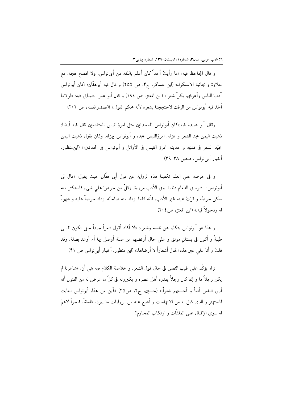و قال الجاحظ فيه: «ما رأيتُ أحداً كان أعلم باللغة من أبي نواس، ولا افصح لهجة، مع حلاوة و مجانبة الاستكراه» (ابن عساكر، ج۴، ص ٢۵۵) و قال فيه أبوهفَّان: «كان أبونواس آدبَ الناس وأعرفهم بكلِّ شعر.» (ابن المعتز، ص ١٩٤) و قال أبو عمر الشيباني فيه: «لولاما أخذ فيه أبونواس من الرفث لاحتججنا بشعره لأنه محكم القول.» (*المصدر نفسه*، ص ٢٠٢)

وقال أبو عبيدة فيه:«كان أبونواس للمحدثين مثل امرؤالقيس للمتقدمين قال فيه أيضا: ذهبت اليمن بجد الشعر و هزله: امرؤالقيس بجده و أبونواس بهزله. وكان يقول ذهبت اليمن بجيِّد الشعر في قدعه و حديثه. امرؤ القيس في الأوائل و أبونواس في المحدثين:» (ابن منظور، أخبار أبے نواس، صص ٣٨-٣٩)

و في حرصه على العلم تكفينا هذه الرواية عن قول أبي هفَّان حيث يقول: «قال لي أبونواس: الشره في الطعام دناءة، وفي الأدب مروءة. وكلٌّ من حرصَ على شيء فاستكثر منه سكن حرصُه و قرّتْ عينه غبر الأدب، فأنه كلما ازداد منه صاحبُه ازداد حرصاً عليه و شهوةً له ودخولاً فيه.» (ابن المعتز ، ص ٢٠٤)

و هذا هو أبونواس يتكلم عن نفسه وشعره: «لا أكاد أقول شعراً جيداً حتى تكون نفسى طيبةً و أكون فى بستانٍ مونق و على حال أرتضيها من صلة أوصل بها أم أوعد بصلة. وقد قلتُ و أنا على غير هذه الحال أشعاراً لا أرضاها.» (ابن منظور، أخبار أبي نواس ص ۴۱)

نراه يؤكَّد على طيب النفس في حال قول الشعر . و خلاصة الكلام فيه هي أن: «شاعرنا لم يكن رجلاً ما و إنما كان رجلاً يقدره أهل عصره و يكبرونه في كلِّ ما عرض له من الفنون أنه أرق الناس أدباً و أحسنهم شعراً.» (حسين، ج٢، ص۴۵) فأين من هذا، أبونواس العابث المستهتر و الذى كيل له من الاتهامات و أشيع عنه من الروايات ما يبرزه فاسقاً، فاجراً لاهمّ له سوى الإقبال على الملذَّات و ارتكاب المحارم؟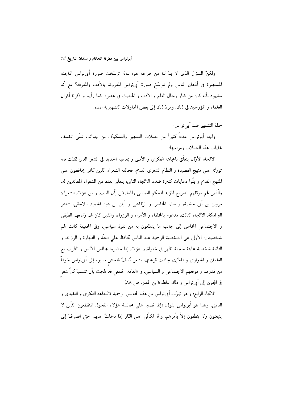ولكنِّ السؤال الذي لا بدِّ لنا من طرحه هو: لماذا ترسَّخت صورة أُبي،نواس الماجنة المستهترة في أذهان الناس ولم تترسّخ صورة أبينواس المعروفة بالأدب والمعرفة؟ مع أنه مشهود بأنه كان من كبار رجال العلم و الأدب و الحديث في عصره، كما رأينا و ذكرنا أقوال العلماء و المؤرخين في ذلك. ومردّ ذلك إلى بعض المحاولات التشهيرية ضده.

حملة التشهير ضد أبي نواس: واجه أبونواس عدداً كثيراً من حملات التشهير والتشكيك من جوانب شتَّى تختلف غايات هذه الحملات ومراميها:

الاتَّجاه الأوَّل: يتعلَّق باتجاهه الفكري و الأدبي و بمذهبه الجديد في الشعر الذي تمثلت فيه ثورتُه على منهج القصيدة و النظام الشعرى القديم، فخالفه الشعراء الذين كانوا يحافظون على المنهج القديم و بثَّوا دعايات كثيرة ضده. الاتَّجاه الثاني: يتعلَّق بعدد من الشعراء المعاندين له، والَّذين لهم موقفهم الصريح المؤيد للحكم العباسي والمعارض لِآل البيت. و من هؤلاء الشعراء: مروان بن أبي حفصة، و سلم الخاسر، و الرّقاشي و أبان بن عبد الحميد اللاحقي، شاعر البرامكة. الاتِّجاه الثالث: مدعوم بالخلفاء و الأمراء و الوزراء، والذين كان لهم وَضعهم الطبقى و الاجتماعي الخاص إلى جانب ما يتمتَّعون به من نفوذ سياسي، وفي الحقيقة كانت لهم شخصيتان: الأولى هي الشخصية الرسمية عند الناس تحافظ على العفَّة و الطهارة و الرزانة. و الثانية شخصية عابثة ماجنة تَظهر في خلواتهم. هؤلاء إذا حضروا مجالس الأنس و الطرب مع الغلمان و الجوارى و المغنّين، جادت قريحتهم بشعر مُسفّ فاحش نسبوه إلى أبي نواس خوفاً من قدرهم و موقعهم الاجتماعى و السياسى، و «العامة الحمقي قد لهجت بأن تنسِبَ كلٌّ شعر في المجون إلى أبي نواس و ذلك غلط.»(ابن المعتز، ص ٨٨)

الاتجاه الرابع: و هو تهرَّب أيينواس من هذه المجالس الرسمية لاتَّجاهه الفكري و العقيدي و الديني. وهذا هو أبونواس يقول: «إنما يَصبر على مجالسة هؤلاء الفحول المنقطعون الذَّين لا ينبعثون ولا ينطقون إلاَّ بأمرهم. والله لكأنَّى على النَّار إذا دخلتُ عليهم حتى انصرفَ إلى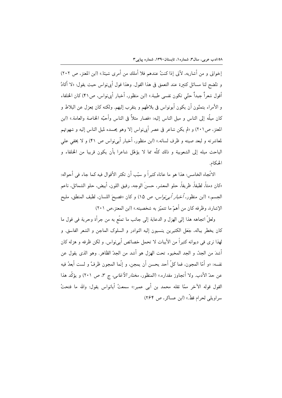إخواني و من أشاربه. لأني إذا كنتُ عندهم فلا أملك من أمرى شيئا.» (ابن المعتز، ص ٢٠٢) و تتَّضح لنا مسائل كثيرة عند التعمق في هذا القول. وهذا قول أبينواس حيث يقول: «لا أكادُ أقول شعراً جيداً حتّى تكون نفسي طيبة.» (ابن منظور، أخبار أبينواس، ص۴۱) كان الخلفاء و الأمراء يتمنَّون أن يكون أبونواس في بلاطهم و يتقرب إليهم. ولكنه كان بمعزل عن البلاط و كان ميلُه إلى الناس و ميل الناس إليه: «فصار مثلاً في الناس وأحبّه الخاصة والعامة.» (ابن المعتز، ص٢٠١) و «لم يكن شاعر في عصر أبينواس إلا وهو يحسده لميل الناس إليه و شهوتهم لمعاشرته و لبعد صيته و ظرف لسانه.» (ابن منظور، أخبار أبي نواس ص ۴۱) و لا يخفي علي الباحث ميله إلى الشعوبية و ذلك كلَّه مما لا يؤهِّل شاعرا بأن يكون قريبا من الخلفاء و الحكام.

الاتّحاه الخامس: هذا هو ما عاناه كثيراً و سبّب أن تكثر الأقوال فيه كما جاء في أجواله: «كان دمثاً، لطيفاً، ظريفاً، حلو المعشر، حسنَ الوجه، رقيق اللون، أبيض، حلو الشمائل، ناعم الجسم.» (ابن منظور، *أخبار أب<sub>ح</sub>نواس*، ص ١٥) و كان «فصيحَ اللسان، لطيف المنطق، مليح الإشارة، وظرفه كان من أهمّ ما تتميّز به شخصيته.» (ابن المعتز،ص ٢٠١)

ولعلَّ اتجاهه هذا إلى الهزل و الدعابة إلى جانب ما تمتَّع به من جرأة وحرية في قول ما كان يخطر بباله، جَعَل الكثيرين ينسبون إليه النوادر و السلوك الماجن و الشعر الفاسق. و لهذا نرى في ديوانه كثيراً من الأبيات لا تحمل خصائص أبي نواس. و لكن ظرفه و هزله كان أشدَ من الجدِّ، و الجد المخبوءِ تحت الهزل هو أشد من الجدِّ الظاهر. وهو الذي يقول عن نفسه: «و أمّا المجون، فما كلّ أحد يحسن أن يمجن، و إنّما المجون ظرفٌ و لست أبعدُ فيه عن حدّ الأدب. ولا أتجاوز مقداره.» (المنظور، *مختار الأغانبي*، ج ٣، ص ٢٠١) و يؤكّد هذا القول قوله الآخر ممّا نقله محمد بن أبي عمير :» سمعتُ أبانواس يقول: والله ما فتحتُ سراويلي لحرام قطّ.» (ابن عساكر ، ص ٢۶۴)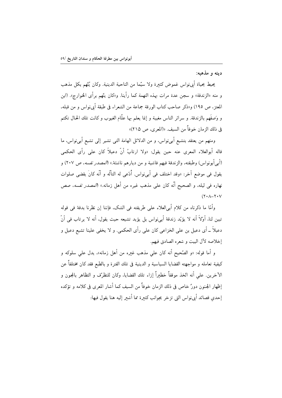دىنە و مذهبه:

يحيط بحياة أبينواس غموض كثيرة ولا سيَّما من الناحية الدينية. وكان يُتَّهم بكل مذهب و منه «الزندقة» و سجن عدة مرات بهذه التهمة كما رأينا. و«كان يتَّهم برأى الخوارج». (ابن المعتز، ص ١٩٥) و«ذكر صاحب كتاب الورقة جماعة من الشعراء في طبقة أبي نواس و من قبله، و وَصَفَهم بالزندقة. و سرائر الناس مغيبة و إنما يعلم بها علَّام الغيوب و كانت تلك الحال تكتم في ذلك الزمان خوفاً من السيف. «(المعرى، ص ٢١٥)»

ومنهم من يعتقد بتشيع أبي'نواس، و من الدلائل الهامة التي تشير إلى تشيع أبي'نواس، ما قاله أبوالعلاء المعرى عنه حين يقول: «ولا ارتابُ أنَّ دعبلاً كان على رأى الحكمى (أبي أبونواس) وطبقته، والزندقة فيهم فاشية و من ديارهم ناشئة.» (*المصدر نفسه*، ص ٢٠٧) و يقول في موضع آخر: «وقد اختلف في أبي نواس. أُدّعي له التألّه و أنّه كانَ يقضي صلوات نهاره في ليله، و الصحيح أنّه كان على مذهب غيره من أهل زمانه.» (*المصدر نفسه*، صص  $(Y \cdot \lambda - Y \cdot V)$ 

وأمَّا ما ذكرناه من كلام أبي|لعلاء على طريقته في الشك، فإننا إن نظرنا بدقة في قوله تبين لنا، أوّلاً أنه لا يؤيّد زندقة أبيiواس بل يؤيد تشيعه حيث يقول، أنه لا يرتاب في أنّ دعبلاً ــ أي دعبل بن على الخزاعي كان على رأى الحكمي. و لا يخفي علينا تشيع دعبل و إخلاصه لآل البيت و شعره الصادق فيهم.

و أما قوله: «و الصَّحيح أنه كان على مذهب غيره من أهل زمانه». يدل على سلوكه و كيفية تعامله و مواجهته القضايا السياسية و الدينية في تلك الفترة و بالطبع فقد كان مختلفاً عن الآخرين. على أنه اتِّخذ موقفاً خطيراً إزاء تلك القضايا، وكان للتظرِّف و التظاهر بالمجون و إظهار الجنون دورٌ خاص في ذلك الزمان خوفاً من السيف كما أشار المعرى في كلامه و تؤكده إحدى قصائد أبي نواس التي تزخر بجوانب كثيرة مما أشير إليه هنا يقول فيها: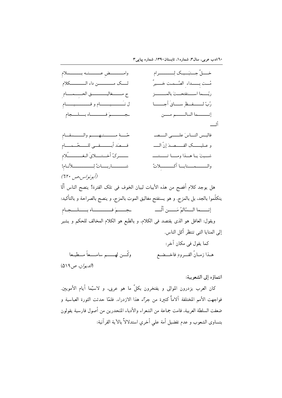

#### انتماؤه إلى الشعوبية:

كان العرب يزدرون الموالي و يفتخرون بكلِّ ما هو عربي، و لاسيِّما أيام الأمويين. فواجهت الأمم المختلفة آلاماً كثيرة من جرّاء هذا الازدراء. فلمّا حدثت الثورة العباسية و ضعفت السلطة العربية، قامت جماعة من الشعراء والأدباء المنحدرين من أصول فارسية يقولون بتساوى الشعوب و عدم تفضيل أمة على أخرى استدلالاً بالآية القرآنية: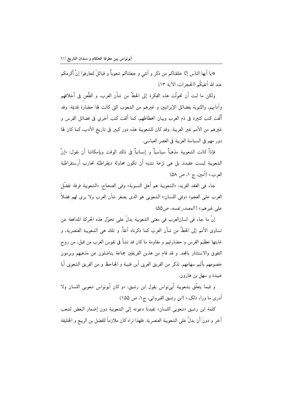\*يا أيها الناس إنّا خلقناكم من ذكر و أنثى و جعلناكم شعوباً و قبائلَ لتعارفوا إنّ أكرمكم عند الله أتقيكُم (الحجرات: الآية ١٣)

ولكن ما لبث أن تحولَّت هذه الفكرة إلى الحطَّ من شأن العرب، و الطَّعن في أخلاقهم وآدابهم، والتَّنوية بفضائل الإيرانيين و غيرهم من الشعوب التي كانت لها حضارة قديمة. وقد ألَّفت كتب كثيرة في ذم العرب وبيان انحطاطهم، كما ألفت كتب أخرى في فضائل الفرس و غيرهم من الأمم غير العربية. وقد كان للشعوبية هذه دور كبير في تاريخ الأدب، كما كان لها دور مهم في السياسة العربية في العصر العباسي.

فإذاً كانت الشعوبية مذهباً سياسياً و إنسانياً في ذلك الوقت وبإمكاننا أن نقول: «إنّ الشعوبية ليست عقيدة، بل هي نزعة تشبه أن تكون محاولة ديمقراطيّة تحارب أرستقراطية العرب.» (أمين. ج ١. ص ٥٨)

جاء في العقد الفريد: «الشعوبية هم أهل التسوية» وفي الصحاح: «الشعوبية فرقة تفضَّل العرب على العجم» «وفي اللسان:» الشعوبي هو الذي يصغر شأن العرب ولا يرى لهم فضلاً على غيرهم.» ( *المصدر نفسه، ص*2۵)

إنَّ ما جاء في لسانالعرب في معنى الشعوبية يدلُّ على تحوَّل هذه الحركة المدافعة عن تساوى الأمم إلى الحطَّ من شأن العرب كما ذكرناه آنفاً. و تلك هي الشعوبية العنصرية، و غايتها تعظيم الفرس و حضارتهم و مقاومة ما كان قد نشأ في نفوس العرب من قبل، من روح التفوق والاستئثار بالمجد. و قد قام من هذين الفريقين جماعة يناضلون عن مذهبهم ويرمون خصومهم بأليم سهامهم. نذكر من الفريق العربي أبن قتيبة و الجاحظ و من الفريق الشعوبي أبا عبيدة و سهل بن هارون.

و فيما يتعلَّق بشعوبية أب<sub>ى</sub>نواس يقول ابن رشيق: «و كان أبونواس شعوبي اللسان ولا أدري ما وراء ذلك.» (ابن رشيق القيرواني، ج١، ص ١٥۵)

كلمة ابن رشيق «شعوبي اللسان» تفيدنا دعوته إلى الشعوبية دون إضمار البغض لشعب آخر و دونَ أن يدلُّ على الشعوبية العنصرية. فلهذا نراه كان ملازماً للفضل بن الربيع و الخليفة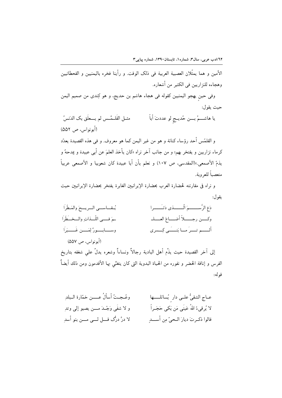الأمين و هما يمثِّلان العصبية العربية في ذلك الوقت. و رأينا فخره باليمنيين و القحطانيين وهجاءه للنزاريين في الكثير من أشعاره.

وفي حين يهجو اليمنيين كقوله في هجاء هاشم بن حديج، و هو كِندى من صميم اليمن حيث بقول:

مثــل القَلــمَّــس لم يـــعلَق بك الدَنسُ يا هاشـــمُ بـــن حُديــج لو عددتَ أباً (أبونواس، ص ٥٥٢)

و القلمّس أحد رؤساء كنانة و هو من غير اليمن كما هو معروف. و في هذه القصيدة يعدّد كرماء نزاريين و يفتخر بهم؛ و من جانب آخر نراه «كان يأخذ العلمَ عن أبي عبيدة و يمدحهُ و يذمّ الأصمعي.»(المقدسي، ص ١٠٧) و نعلم بأن أبا عبيدة كان شعوبيا و الأصمعي عربياً متعصباً للعروبة.

و نراه في مقارنته لحضارة العرب بحضارة الإيرانيين الغابرة يفتخر بحضارة الإيرانيين حيث يقو ل:

| يُقاسمي السريىحَ والمَطْرَا         | دَعِ الرَّســــــمَ الَّـــــــذى دَتـَـــــرا |
|-------------------------------------|------------------------------------------------|
| ـمَ فـــي اللّــذاتِ والــخـــطَرَا | وكسن رجسلاً أضـــاعَ العـــلـ                  |
| وســـابـــورٌ لِمَـــن غَــــبَراً  | ألــــم تـــرَ مــا بَنـــَــى كِــسرى         |
| (أبونواس، ص ۵۵۷)                    |                                                |

إلى آخر القصيدة حيث يذَّم أهل البادية رجالاً ونساءاً وشعره يدلُّ على شغفه بتاريخ الفرس و إناقة الحضر و نفوره من الحياة البدوية التي كان يتغنّى بها الأقدمون ومن ذلك أيضاً قو له:

| وعُـجـتُ أسألُ عــــن خمّارة الـبلدِ        | عــاج الشقىُّ علــى دار ٍ يُسائلـــــها    |
|---------------------------------------------|--------------------------------------------|
| و لا شفَى وَجْـدَ مــــن يصبو إلى وتدِ      | لا يُرقىءُ اللهُ عَينَى مَن بَكى حَجَــراً |
| لا درَّ درُّک قــــل لــــي مــــن بنو أسدِ | فالوا ذكـرتَ ديارَ الـحيّ مِن أســـدٍ      |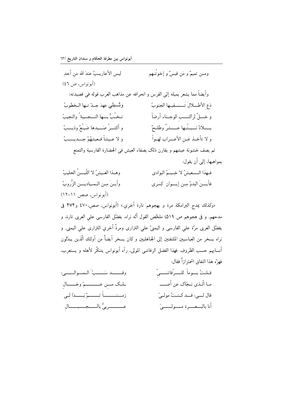ليس الأعاريـبُ عندَ الله من أحدِ ومـن تميمٌ و مَن قيسٌ و إخوتُـهم (أبونواس، ص ٤٦) وأيضاً مما يشعر بميله إلى الفرس و انحرافه عن مذاهب العرب قوله في قصيدته: دَعِ الأطْلِلالَ تَسْسِفِيها الجنوبُ ونُسبلي عهدَ جلّ تها الخطوبُ تخُبُّ بِسها النسجسية ُ والنجيبُ و خــــلٍّ لراكــــب الوجــناء أرضاً و أكثــرُ صَـــيدها ضَبـُعٌ وذيـــبُ بـــــــلادٌ نــــبــتُــها عــــــشرٌ وطلــحٌ و لا عـيشاً فـعيشهُمُ جـــديـــــبُ و لا تأخـذ عَـن الأعــراب لهـواً ثم يصف خشونة عيشهم و يقارن ذلك بصفاء العيش في الحضارة الفارسية والتمتع بمواهبها، إلى أن يقول: وهـذا العـيشُ لا اللّبـــنُ الحليبُ فهذا السعيشُ لا خِيــَمُ البوادي وأيـنَ مـن الـمـياديـــن الزُّروبُ فأيسنَ البدوُ مِن إيسوان كِسرى (أبونواس، صص ١١-١٢) «وكذلك يمدح البرامكة مرة و يهجوهم تارة أخرى.» (أبونواس، صص، ٤٧٠ و٤٧۴ في مدحهم. و في هجوهم ص ٥١٩) ملحِّص القول أنَّه نراه، يفضَّل الفارسي على العربي تارة، و يفضّل العربي مرّة على الفارسي و اليمنيّ على النزاري ومرةٌ أخري النزاري على اليمني. و نراه يسخر من العباسيين الملتفتين إلى الجـاهليين و كان يسخر أيضاً من أولئك الّذين يبدّلون أنسابهم حسب الظروف. فهذا الفضل الرقاشي المولى، رآه أبونواس يتنكَّر لأهله و يستعرب، فهنَّ هذا النفاق اشمئز إزاً فقال:

| وقـــــد سَــــبّ الـمــوالـــــى:          | قـلـتُ يـــوماً للـــــرّقاشـــــيّ |
|---------------------------------------------|-------------------------------------|
| لملك مـِن عـــــــمّ وخــــالِ              | مـا الّـذي نـجّاک عن أصـــــ        |
| زمــنـــــــــاً ثـــــــمّ بَـــــدَا لــى | قال لــي: قــد كـنـتُ مولـيَّ       |
| عــــــــــربيٌّ بالـــــجـــــبـــــالِ    | أنا بالبــصـــرة مـــــولـــــــىً  |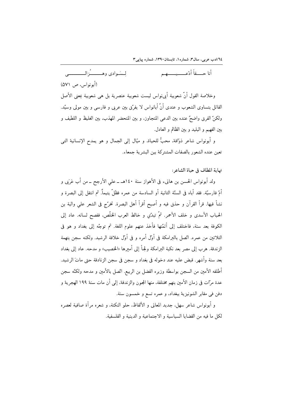أنا حسفاً أدّعب وسيسمع م لسيّة ادى وهـيسيسيُّ: الـــــــــــــ (أبونواس، ص ٥٧١) وخلاصة القول أنَّ شعوبية أبينواس ليست شعوبية عنصرية بل هي شعوبية بمعنى الأصل القائل بتساوى الشعوب و عندي أنَّ أبانواس لا يفرِّق بين عربي و فارسي و بين مولى وسيِّد. ولكنِّ الفرق واضحٌ عنده بين الدعى المتجاوز، و بين المتحضر المهذب، بين الغليظ و اللطيف و بين الفهيم و البليد و بين الظالم و العادل.

و أبونواس شاعر ذوّاقة، محبُّ للحياة، و ميّال إلى الجمال و هو يمدح الإنسانية التي تعين عنده الشعور بالصفات المشتركة بين البشر ية جمعاء.

نهاية المطاف في حياة الشاعر:

ولد أبونواس الحسن بن هانيء في الأهواز سنة ١٤٠هـ ــ على الأرجح ــ من أب عَرَبي و أمّ فارسيّة. فقد أباه في السنّة الثانية أو السادسة من عمره فظلّ يتيماً. ثم انتقل إلى البصرة و نشأ فيها. قرأ القرآن و حذق فيه و أصبح أقرأ أهل البصرة. تخرّج في الشعر على والبة بن الحباب الأسدى و خلف الأحمر. ثمَّ تبدَّى و خالط العرب الخلَّص، ففصح لسانه. عاد إلى الكوفة بعد سنة، فاختلف إلى أئمَّتها فأخذ عنهم علوم اللغة. ثم توجَّه إلى بغداد و هو في الثلاثين من عمره. اتِّصل بالبرامكة في أوّل أمره و في أوّل خلافة الرشيد. ولكنه سجن بتهمة الزندقة. هرب إلى مصر بعد نكبة البرامكة ولجـأ إلى أمبرها «الخصيب» و مدحه. عاد إلى بغداد بعد سنة وأشهر. قبض عليه عند دخوله فى بغداد و سجن فى سجن الزنادقة حتى ماتَ الرشيد. أطلقه الأمين من السجن بواسطة وزيره الفضل بن الربيع. اتَّصل بالأمين و مدحه ولكنَّه سجن عدة مرّات في زمان الأمين بتهم مختلفة، منها المجون والزندقة، إلى أن مات سنة ١٩٩ الهجرية و دفن في مقابر الشونيزية ببغداد، و عمره تسع و خمسون سنة.

و أبونواس شاعر سهل، جديد المعاني و الألفاظ، حلو النكتة، و شعره مرآة صافية لعصره لكل ما فيه من القضايا السياسية و الاجتماعية و الدينية و الفلسفية.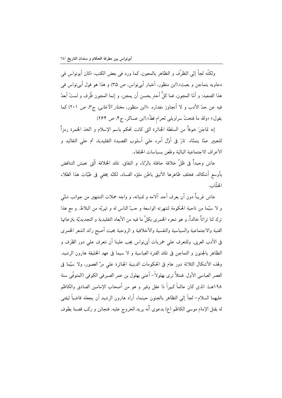ولكنَّه لجأ إلى التظرُّف و التظاهر بالمجون، كما ورد في بعض الكتب: «كان أبونواس في دعاويه يتماجن و يعبث».(ابن منظور، أخبار أبي نواس، ص ٣۵) و هذا هو قول أبي نواس في هذا الصعيد: و أمّا المجون، فما كلُّ أحد يحسن أن يمجن، و إنما المجون ظُرِ ف و لستُ أبعدُ فيه عن حدّ الأدب و لا أتجاوز مقداره. «(ابن منظور، *مختار الأغانبي، ج*٣، ص ٢٠١) كما يقول:» «والله ما فتحتُ سراويلي لحرام قطَّ».(ابن عساكر، ج۴، ص ۲۶۴)

إنه تماجَنَ خوفاً من السلطة الجائرة التي كانت تحكم باسم الإسلام و اتَّخذ الخمرة رمزاً للتعبير عمّا يتمنّاه. ثارَ في أوّل أمره على أسلوب القصيدة التقليدية، ثم على التقاليد و الأعراف الاجتماعية البالية وطعن بسياسات الخلفاء.

عاش وحيداً في ظلِّ خلافة حافلة بالرِّئاء و النفاق. تلك الخلافة الَّتي تعيش التناقض بأوسع أشكاله، فخلف ظاهرها الأنيق باطن ملؤه الفساد، لكنّه يخفى فى طيّات هذا الطلاء الخلّاب.

عاش غريباً دون أن يعرف أحد آلامه و تمنياته، و واجه حملات التشهير من جوانب شتّى و لا سيَّما من ناحية الحكومة لشهرته الواسعة و حبِّ الناس له و تهربُّه من البلاط. و مع هذا ترك لنا تراثاً خالداً، و هو شعره الخمري بكلّ ما فيه من الأبعاد التقليدية و التجديديّة بنزعاتها الفنية والاجتماعية والسياسية والنفسية والأخلاقية و الروحية بحيث أصبح رائد الشعر الخمري في الأدب العربي. وللتعرف على خمريات أبينواس يجب علينا أن نتعرف على دور الظرف و التظاهر بالجنون و التماجن في تلك الفترة العباسية و لا سيما في عهد الخليفة هارون الرشيد. ولهذه الأشكال الثلاثة دور هام في الحكومات الدينية الجائرة على مرّ العصور، ولا سيَّما في العصر العباسي الأول. فمثلاً نرى بهلولاً– أعنى بهلول بن عمر الصيرفي الكوفي (المتوفّى سنة ١٩٨هـ). الذي كان عالماً كبيراً ذا عقل وفير و هو من أصحاب الإمامين الصادق والكاظم عليهما السلام– لجأ إلى التظاهر بالجنون حينماء أراد هارون الرشيد أن يجعله قاضياً ليفتى له بقتل الإمام موسى الكاظم (ع) بدعوى أنَّه يريد الخروج عليه. فتجانن و ركب قصبة يطوف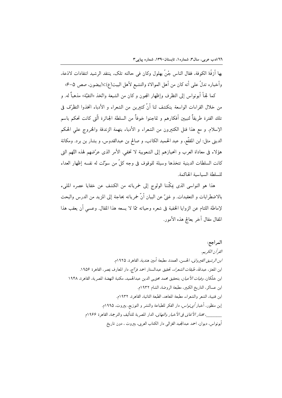بها أزقَّهٔ الكوفة، فقال الناس جُنَّ بهلول وكان في حالته تلك، ينتقد الرشيد انتقادات لاذعة، وأخباره تدلُّ على أنه كان من أهل الموالاة والتشيع لأهل البيت(ع):((بيضون، صص ۵–۴»

كما لجـأ أبونواس إلى التظرف وإظهار المجون و كان من الشيعة واتَّخذ «التقيَّة» مذهباً له. و من خلال القراءات الواسعة ينكشف لنا أنَّ كثيرين من الشعراء و الأدباء اتخذوا التظرِّف في تلك الفترة طريقاً لتبيين أفكارهم و تماجنوا خوفاً من السلطة الجائرة الّتي كانت تحكم باسم الإسلام. و مع هذا قتل الكثيرون من الشعراء و الأدباء بتهمة الزندقة والخروج على الحكم الديني مثل: ابن المقفَّع، و عبد الحميد الكاتب، و صالح بن عبدالقدوس، و بشار بن برد. ومكانة هؤلاء في معاداة العرب و انحيازهم إلى الشعوبية لا تخفي. الأمر الذي عرَّضهم لهذه التَّهم التي كانت السلطات الدينية تتخذها وسيلة للوقوف في وجه كلٌّ من سوّلت له نفسه إظهار العداء للسلطة السياسية الحاكمة.

هذا هو النواسي الذي يمكّننا الولوج إلى خمرياته من الكشف عن خفايا عصره المليء بالاضطرابات و التعقيدات. و غنيٌّ عن البيان أنَّ خمرياته بحاجة إلى المزيد من الدرس والبحث لإماطة اللثام عن الزوايا الخفية في شعره وحياته ممّا لا يسعه هذا المقال. وعسى أن يعقب هذا المقال مقال آخر يعالج هذه الأمور.

المراجع: القرآن الكريع. *ابن الرشيق القيرواني*، الحسن، العمدة، مطبعة أمين هندية، القاهرة، ١٩٢٥م. ابن المعتز، عبدالله، *طبقات الشعراء*، تحقيق عبدالستار احمد فرّاج، دار المعارف بمصر، القاهرة ١٩٥۶. ابن خلّكان، *وفيات الأعيان،* بتحقيق محمد محيى الدين عبدالحميد، مكتبة النهضة المصرية، القاهرة، ١٩۴٨ ابن عساكر، التاريخ الكبير، مطبعة الروضة، الشام ١٩٣٢م. ابن قتيبة، الشعر والشعراء، مطبعة المعاهد، الطبعة الثانية، القاهرة، ١٩٣٢م. إبن منظور، أخبار *أبى نواس*، دار الفكر للطباعة والنشر و التوزيع، بيروت، ١٩٩٥م. ، مختار *الأغاني في الأخبار والتهاني*، الدار المصرية للتأليف والترجمة، القاهرة ١٩۶۶م أبونواس، ديوان، احمد عبدالمجيد الغزالي دار الكتاب العربي، بىروت ، دون تاريخ